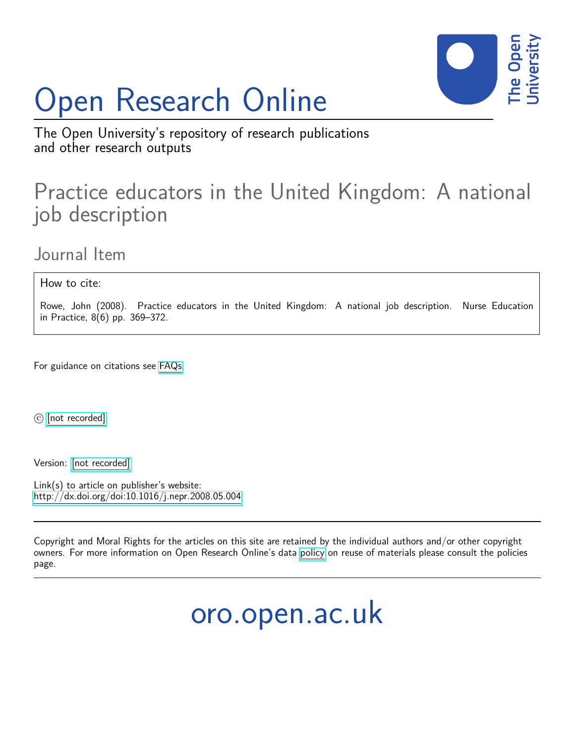# Open Research Online



The Open University's repository of research publications and other research outputs

## Practice educators in the United Kingdom: A national job description

Journal Item

How to cite:

Rowe, John (2008). Practice educators in the United Kingdom: A national job description. Nurse Education in Practice, 8(6) pp. 369–372.

For guidance on citations see [FAQs.](http://oro.open.ac.uk/help/helpfaq.html)

 $\odot$  [\[not recorded\]](http://oro.open.ac.uk/help/helpfaq.html#Unrecorded_information_on_coversheet)

Version: [\[not recorded\]](http://oro.open.ac.uk/help/helpfaq.html#Unrecorded_information_on_coversheet)

Link(s) to article on publisher's website: <http://dx.doi.org/doi:10.1016/j.nepr.2008.05.004>

Copyright and Moral Rights for the articles on this site are retained by the individual authors and/or other copyright owners. For more information on Open Research Online's data [policy](http://oro.open.ac.uk/policies.html) on reuse of materials please consult the policies page.

oro.open.ac.uk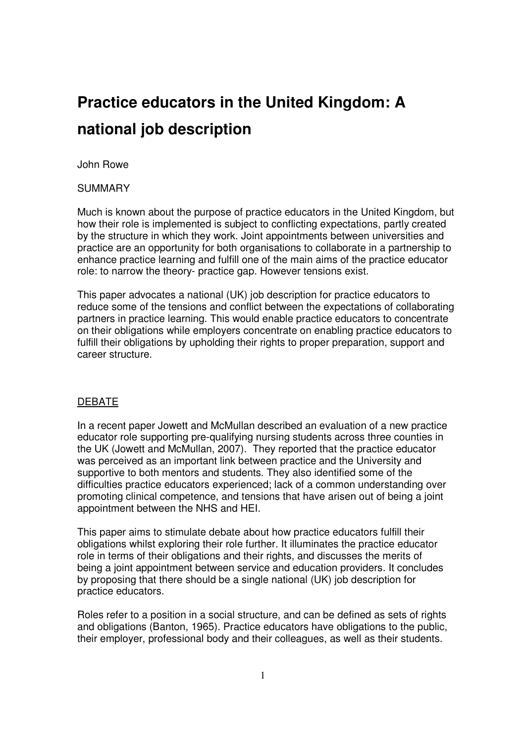## **Practice educators in the United Kingdom: A national job description**

#### John Rowe

#### SUMMARY

Much is known about the purpose of practice educators in the United Kingdom, but how their role is implemented is subject to conflicting expectations, partly created by the structure in which they work. Joint appointments between universities and practice are an opportunity for both organisations to collaborate in a partnership to enhance practice learning and fulfill one of the main aims of the practice educator role: to narrow the theory- practice gap. However tensions exist.

This paper advocates a national (UK) job description for practice educators to reduce some of the tensions and conflict between the expectations of collaborating partners in practice learning. This would enable practice educators to concentrate on their obligations while employers concentrate on enabling practice educators to fulfill their obligations by upholding their rights to proper preparation, support and career structure.

### DEBATE

In a recent paper Jowett and McMullan described an evaluation of a new practice educator role supporting pre-qualifying nursing students across three counties in the UK (Jowett and McMullan, 2007). They reported that the practice educator was perceived as an important link between practice and the University and supportive to both mentors and students. They also identified some of the difficulties practice educators experienced; lack of a common understanding over promoting clinical competence, and tensions that have arisen out of being a joint appointment between the NHS and HEI.

This paper aims to stimulate debate about how practice educators fulfill their obligations whilst exploring their role further. It illuminates the practice educator role in terms of their obligations and their rights, and discusses the merits of being a joint appointment between service and education providers. It concludes by proposing that there should be a single national (UK) job description for practice educators.

Roles refer to a position in a social structure, and can be defined as sets of rights and obligations (Banton, 1965). Practice educators have obligations to the public, their employer, professional body and their colleagues, as well as their students.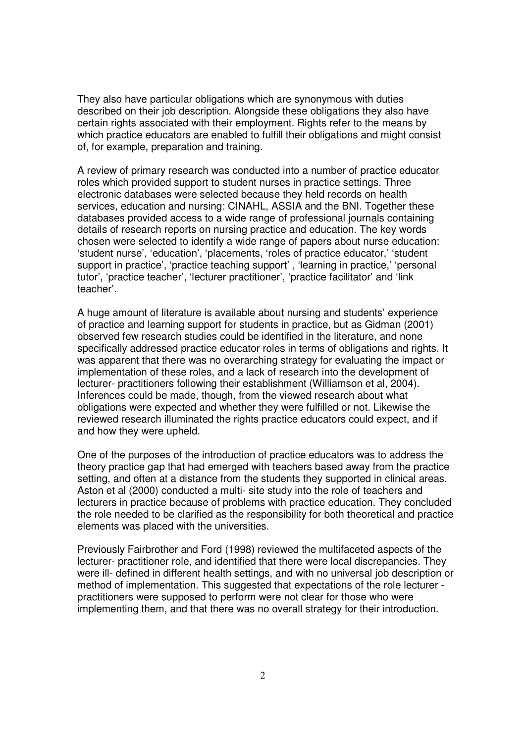They also have particular obligations which are synonymous with duties described on their job description. Alongside these obligations they also have certain rights associated with their employment. Rights refer to the means by which practice educators are enabled to fulfill their obligations and might consist of, for example, preparation and training.

A review of primary research was conducted into a number of practice educator roles which provided support to student nurses in practice settings. Three electronic databases were selected because they held records on health services, education and nursing: CINAHL, ASSIA and the BNI. Together these databases provided access to a wide range of professional journals containing details of research reports on nursing practice and education. The key words chosen were selected to identify a wide range of papers about nurse education: 'student nurse', 'education', 'placements, 'roles of practice educator,' 'student support in practice', 'practice teaching support' , 'learning in practice,' 'personal tutor', 'practice teacher', 'lecturer practitioner', 'practice facilitator' and 'link teacher'.

A huge amount of literature is available about nursing and students' experience of practice and learning support for students in practice, but as Gidman (2001) observed few research studies could be identified in the literature, and none specifically addressed practice educator roles in terms of obligations and rights. It was apparent that there was no overarching strategy for evaluating the impact or implementation of these roles, and a lack of research into the development of lecturer- practitioners following their establishment (Williamson et al, 2004). Inferences could be made, though, from the viewed research about what obligations were expected and whether they were fulfilled or not. Likewise the reviewed research illuminated the rights practice educators could expect, and if and how they were upheld.

One of the purposes of the introduction of practice educators was to address the theory practice gap that had emerged with teachers based away from the practice setting, and often at a distance from the students they supported in clinical areas. Aston et al (2000) conducted a multi- site study into the role of teachers and lecturers in practice because of problems with practice education. They concluded the role needed to be clarified as the responsibility for both theoretical and practice elements was placed with the universities.

Previously Fairbrother and Ford (1998) reviewed the multifaceted aspects of the lecturer- practitioner role, and identified that there were local discrepancies. They were ill- defined in different health settings, and with no universal job description or method of implementation. This suggested that expectations of the role lecturer practitioners were supposed to perform were not clear for those who were implementing them, and that there was no overall strategy for their introduction.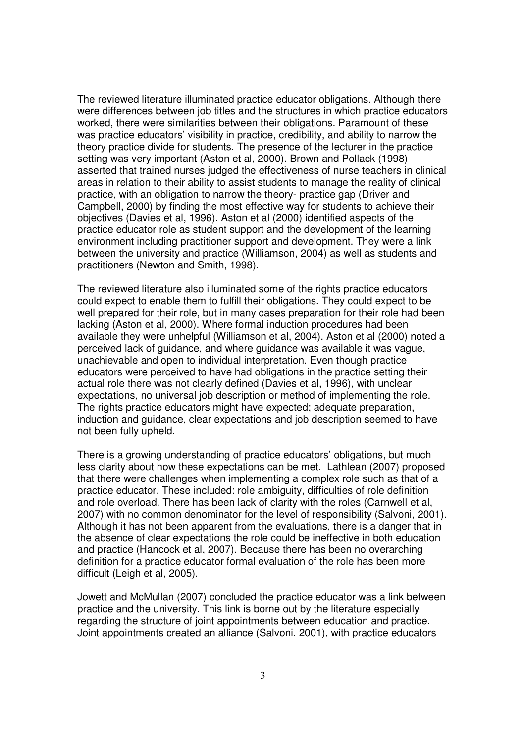The reviewed literature illuminated practice educator obligations. Although there were differences between job titles and the structures in which practice educators worked, there were similarities between their obligations. Paramount of these was practice educators' visibility in practice, credibility, and ability to narrow the theory practice divide for students. The presence of the lecturer in the practice setting was very important (Aston et al, 2000). Brown and Pollack (1998) asserted that trained nurses judged the effectiveness of nurse teachers in clinical areas in relation to their ability to assist students to manage the reality of clinical practice, with an obligation to narrow the theory- practice gap (Driver and Campbell, 2000) by finding the most effective way for students to achieve their objectives (Davies et al, 1996). Aston et al (2000) identified aspects of the practice educator role as student support and the development of the learning environment including practitioner support and development. They were a link between the university and practice (Williamson, 2004) as well as students and practitioners (Newton and Smith, 1998).

The reviewed literature also illuminated some of the rights practice educators could expect to enable them to fulfill their obligations. They could expect to be well prepared for their role, but in many cases preparation for their role had been lacking (Aston et al, 2000). Where formal induction procedures had been available they were unhelpful (Williamson et al, 2004). Aston et al (2000) noted a perceived lack of guidance, and where guidance was available it was vague, unachievable and open to individual interpretation. Even though practice educators were perceived to have had obligations in the practice setting their actual role there was not clearly defined (Davies et al, 1996), with unclear expectations, no universal job description or method of implementing the role. The rights practice educators might have expected; adequate preparation, induction and guidance, clear expectations and job description seemed to have not been fully upheld.

There is a growing understanding of practice educators' obligations, but much less clarity about how these expectations can be met. Lathlean (2007) proposed that there were challenges when implementing a complex role such as that of a practice educator. These included: role ambiguity, difficulties of role definition and role overload. There has been lack of clarity with the roles (Carnwell et al, 2007) with no common denominator for the level of responsibility (Salvoni, 2001). Although it has not been apparent from the evaluations, there is a danger that in the absence of clear expectations the role could be ineffective in both education and practice (Hancock et al, 2007). Because there has been no overarching definition for a practice educator formal evaluation of the role has been more difficult (Leigh et al, 2005).

Jowett and McMullan (2007) concluded the practice educator was a link between practice and the university. This link is borne out by the literature especially regarding the structure of joint appointments between education and practice. Joint appointments created an alliance (Salvoni, 2001), with practice educators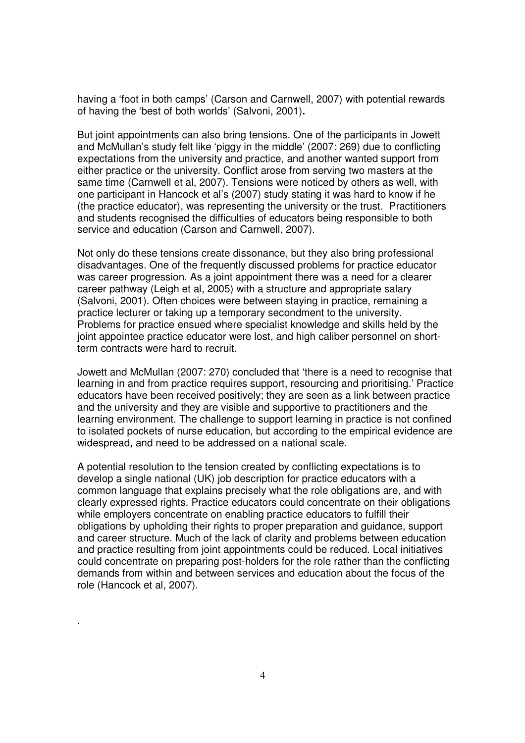having a 'foot in both camps' (Carson and Carnwell, 2007) with potential rewards of having the 'best of both worlds' (Salvoni, 2001)**.**

But joint appointments can also bring tensions. One of the participants in Jowett and McMullan's study felt like 'piggy in the middle' (2007: 269) due to conflicting expectations from the university and practice, and another wanted support from either practice or the university. Conflict arose from serving two masters at the same time (Carnwell et al, 2007). Tensions were noticed by others as well, with one participant in Hancock et al's (2007) study stating it was hard to know if he (the practice educator), was representing the university or the trust. Practitioners and students recognised the difficulties of educators being responsible to both service and education (Carson and Carnwell, 2007).

Not only do these tensions create dissonance, but they also bring professional disadvantages. One of the frequently discussed problems for practice educator was career progression. As a joint appointment there was a need for a clearer career pathway (Leigh et al, 2005) with a structure and appropriate salary (Salvoni, 2001). Often choices were between staying in practice, remaining a practice lecturer or taking up a temporary secondment to the university. Problems for practice ensued where specialist knowledge and skills held by the joint appointee practice educator were lost, and high caliber personnel on shortterm contracts were hard to recruit.

Jowett and McMullan (2007: 270) concluded that 'there is a need to recognise that learning in and from practice requires support, resourcing and prioritising.' Practice educators have been received positively; they are seen as a link between practice and the university and they are visible and supportive to practitioners and the learning environment. The challenge to support learning in practice is not confined to isolated pockets of nurse education, but according to the empirical evidence are widespread, and need to be addressed on a national scale.

A potential resolution to the tension created by conflicting expectations is to develop a single national (UK) job description for practice educators with a common language that explains precisely what the role obligations are, and with clearly expressed rights. Practice educators could concentrate on their obligations while employers concentrate on enabling practice educators to fulfill their obligations by upholding their rights to proper preparation and guidance, support and career structure. Much of the lack of clarity and problems between education and practice resulting from joint appointments could be reduced. Local initiatives could concentrate on preparing post-holders for the role rather than the conflicting demands from within and between services and education about the focus of the role (Hancock et al, 2007).

.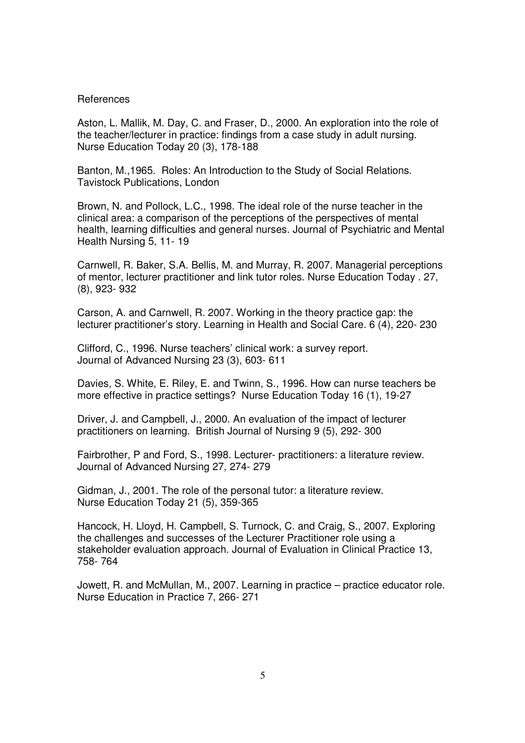#### References

Aston, L. Mallik, M. Day, C. and Fraser, D., 2000. An exploration into the role of the teacher/lecturer in practice: findings from a case study in adult nursing. Nurse Education Today 20 (3), 178-188

Banton, M.,1965. Roles: An Introduction to the Study of Social Relations. Tavistock Publications, London

Brown, N. and Pollock, L.C., 1998. The ideal role of the nurse teacher in the clinical area: a comparison of the perceptions of the perspectives of mental health, learning difficulties and general nurses. Journal of Psychiatric and Mental Health Nursing 5, 11- 19

Carnwell, R. Baker, S.A. Bellis, M. and Murray, R. 2007. Managerial perceptions of mentor, lecturer practitioner and link tutor roles. Nurse Education Today . 27, (8), 923- 932

Carson, A. and Carnwell, R. 2007. Working in the theory practice gap: the lecturer practitioner's story. Learning in Health and Social Care. 6 (4), 220- 230

Clifford, C., 1996. Nurse teachers' clinical work: a survey report. Journal of Advanced Nursing 23 (3), 603- 611

Davies, S. White, E. Riley, E. and Twinn, S., 1996. How can nurse teachers be more effective in practice settings? Nurse Education Today 16 (1), 19-27

Driver, J. and Campbell, J., 2000. An evaluation of the impact of lecturer practitioners on learning. British Journal of Nursing 9 (5), 292- 300

Fairbrother, P and Ford, S., 1998. Lecturer- practitioners: a literature review. Journal of Advanced Nursing 27, 274- 279

Gidman, J., 2001. The role of the personal tutor: a literature review. Nurse Education Today 21 (5), 359-365

Hancock, H. Lloyd, H. Campbell, S. Turnock, C. and Craig, S., 2007. Exploring the challenges and successes of the Lecturer Practitioner role using a stakeholder evaluation approach. Journal of Evaluation in Clinical Practice 13, 758- 764

Jowett, R. and McMullan, M., 2007. Learning in practice – practice educator role. Nurse Education in Practice 7, 266- 271